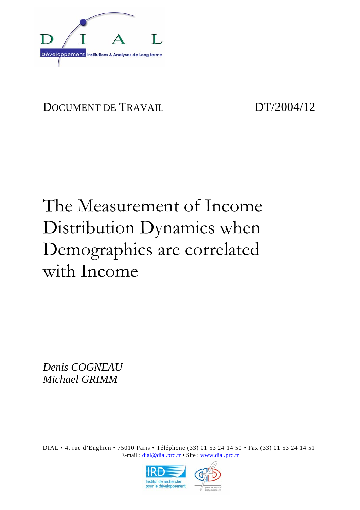

# DOCUMENT DE TRAVAIL DT/2004/12

# The Measurement of Income Distribution Dynamics when Demographics are correlated with Income

*Denis COGNEAU Michael GRIMM* 

DIAL • 4, rue d'Enghien • 75010 Paris • Téléphone (33) 01 53 24 14 50 • Fax (33) 01 53 24 14 51 E-mail : dial@dial.prd.fr • Site : www.dial.prd.fr

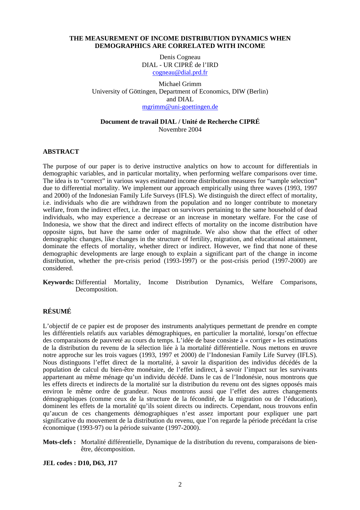### **THE MEASUREMENT OF INCOME DISTRIBUTION DYNAMICS WHEN DEMOGRAPHICS ARE CORRELATED WITH INCOME**

Denis Cogneau DIAL - UR CIPRÉ de l'IRD cogneau@dial.prd.fr

Michael Grimm University of Göttingen, Department of Economics, DIW (Berlin) and DIAL mgrimm@uni-goettingen.de

### **Document de travail DIAL / Unité de Recherche CIPRÉ** Novembre 2004

### **ABSTRACT**

The purpose of our paper is to derive instructive analytics on how to account for differentials in demographic variables, and in particular mortality, when performing welfare comparisons over time. The idea is to "correct" in various ways estimated income distribution measures for "sample selection" due to differential mortality. We implement our approach empirically using three waves (1993, 1997 and 2000) of the Indonesian Family Life Surveys (IFLS). We distinguish the direct effect of mortality, i.e. individuals who die are withdrawn from the population and no longer contribute to monetary welfare, from the indirect effect, i.e. the impact on survivors pertaining to the same household of dead individuals, who may experience a decrease or an increase in monetary welfare. For the case of Indonesia, we show that the direct and indirect effects of mortality on the income distribution have opposite signs, but have the same order of magnitude. We also show that the effect of other demographic changes, like changes in the structure of fertility, migration, and educational attainment, dominate the effects of mortality, whether direct or indirect. However, we find that none of these demographic developments are large enough to explain a significant part of the change in income distribution, whether the pre-crisis period (1993-1997) or the post-crisis period (1997-2000) are considered.

### **RÉSUMÉ**

L'objectif de ce papier est de proposer des instruments analytiques permettant de prendre en compte les différentiels relatifs aux variables démographiques, en particulier la mortalité, lorsqu'on effectue des comparaisons de pauvreté au cours du temps. L'idée de base consiste à « corriger » les estimations de la distribution du revenu de la sélection liée à la mortalité différentielle. Nous mettons en œuvre notre approche sur les trois vagues (1993, 1997 et 2000) de l'Indonesian Family Life Survey (IFLS). Nous distinguons l'effet direct de la mortalité, à savoir la disparition des individus décédés de la population de calcul du bien-être monétaire, de l'effet indirect, à savoir l'impact sur les survivants appartenant au même ménage qu'un individu décédé. Dans le cas de l'Indonésie, nous montrons que les effets directs et indirects de la mortalité sur la distribution du revenu ont des signes opposés mais environ le même ordre de grandeur. Nous montrons aussi que l'effet des autres changements démographiques (comme ceux de la structure de la fécondité, de la migration ou de l'éducation), dominent les effets de la mortalité qu'ils soient directs ou indirects. Cependant, nous trouvons enfin qu'aucun de ces changements démographiques n'est assez important pour expliquer une part significative du mouvement de la distribution du revenu, que l'on regarde la période précédant la crise économique (1993-97) ou la période suivante (1997-2000).

**Mots-clefs :** Mortalité différentielle, Dynamique de la distribution du revenu, comparaisons de bienêtre, décomposition.

**JEL codes : D10, D63, J17** 

**Keywords:** Differential Mortality, Income Distribution Dynamics, Welfare Comparisons, Decomposition.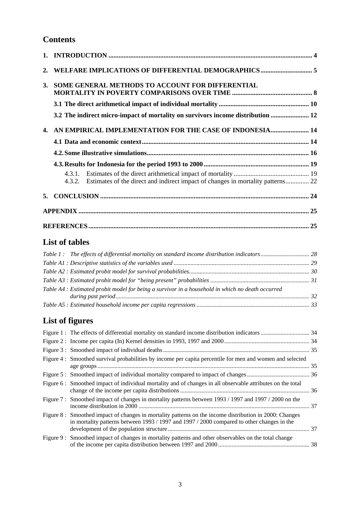# **Contents**

| 3. | SOME GENERAL METHODS TO ACCOUNT FOR DIFFERENTIAL                                       |
|----|----------------------------------------------------------------------------------------|
|    |                                                                                        |
|    | 3.2 The indirect micro-impact of mortality on survivors income distribution  12        |
|    | 4. AN EMPIRICAL IMPLEMENTATION FOR THE CASE OF INDONESIA 14                            |
|    |                                                                                        |
|    |                                                                                        |
|    |                                                                                        |
|    | 4.3.2. Estimates of the direct and indirect impact of changes in mortality patterns 22 |
|    |                                                                                        |
|    |                                                                                        |
|    |                                                                                        |

### **List of tables**

| Table A4 : Estimated probit model for being a survivor in a household in which no death occurred |  |
|--------------------------------------------------------------------------------------------------|--|
|                                                                                                  |  |

# **List of figures**

| Figure 4 : Smoothed survival probabilities by income per capita percentile for men and women and selected                                                                                            |  |
|------------------------------------------------------------------------------------------------------------------------------------------------------------------------------------------------------|--|
|                                                                                                                                                                                                      |  |
| Figure 6: Smoothed impact of individual mortality and of changes in all observable attributes on the total                                                                                           |  |
| Figure 7: Smoothed impact of changes in mortality patterns between 1993 / 1997 and 1997 / 2000 on the                                                                                                |  |
| Figure 8: Smoothed impact of changes in mortality patterns on the income distribution in 2000: Changes<br>in mortality patterns between 1993 / 1997 and 1997 / 2000 compared to other changes in the |  |
| Figure 9: Smoothed impact of changes in mortality patterns and other observables on the total change                                                                                                 |  |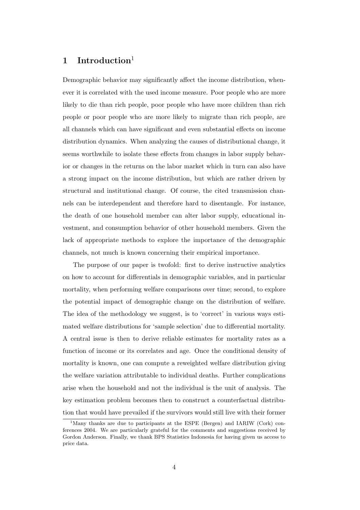### **1 Introduction**<sup>1</sup>

Demographic behavior may significantly affect the income distribution, whenever it is correlated with the used income measure. Poor people who are more likely to die than rich people, poor people who have more children than rich people or poor people who are more likely to migrate than rich people, are all channels which can have significant and even substantial effects on income distribution dynamics. When analyzing the causes of distributional change, it seems worthwhile to isolate these effects from changes in labor supply behavior or changes in the returns on the labor market which in turn can also have a strong impact on the income distribution, but which are rather driven by structural and institutional change. Of course, the cited transmission channels can be interdependent and therefore hard to disentangle. For instance, the death of one household member can alter labor supply, educational investment, and consumption behavior of other household members. Given the lack of appropriate methods to explore the importance of the demographic channels, not much is known concerning their empirical importance.

The purpose of our paper is twofold: first to derive instructive analytics on how to account for differentials in demographic variables, and in particular mortality, when performing welfare comparisons over time; second, to explore the potential impact of demographic change on the distribution of welfare. The idea of the methodology we suggest, is to 'correct' in various ways estimated welfare distributions for 'sample selection' due to differential mortality. A central issue is then to derive reliable estimates for mortality rates as a function of income or its correlates and age. Once the conditional density of mortality is known, one can compute a reweighted welfare distribution giving the welfare variation attributable to individual deaths. Further complications arise when the household and not the individual is the unit of analysis. The key estimation problem becomes then to construct a counterfactual distribution that would have prevailed if the survivors would still live with their former

<sup>&</sup>lt;sup>1</sup>Many thanks are due to participants at the ESPE (Bergen) and IARIW (Cork) conferences 2004. We are particularly grateful for the comments and suggestions received by Gordon Anderson. Finally, we thank BPS Statistics Indonesia for having given us access to price data.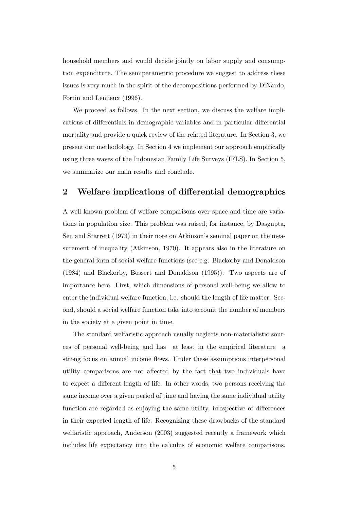household members and would decide jointly on labor supply and consumption expenditure. The semiparametric procedure we suggest to address these issues is very much in the spirit of the decompositions performed by DiNardo, Fortin and Lemieux (1996).

We proceed as follows. In the next section, we discuss the welfare implications of differentials in demographic variables and in particular differential mortality and provide a quick review of the related literature. In Section 3, we present our methodology. In Section 4 we implement our approach empirically using three waves of the Indonesian Family Life Surveys (IFLS). In Section 5, we summarize our main results and conclude.

### **2 Welfare implications of differential demographics**

A well known problem of welfare comparisons over space and time are variations in population size. This problem was raised, for instance, by Dasgupta, Sen and Starrett (1973) in their note on Atkinson's seminal paper on the measurement of inequality (Atkinson, 1970). It appears also in the literature on the general form of social welfare functions (see e.g. Blackorby and Donaldson (1984) and Blackorby, Bossert and Donaldson (1995)). Two aspects are of importance here. First, which dimensions of personal well-being we allow to enter the individual welfare function, i.e. should the length of life matter. Second, should a social welfare function take into account the number of members in the society at a given point in time.

The standard welfaristic approach usually neglects non-materialistic sources of personal well-being and has—at least in the empirical literature—a strong focus on annual income flows. Under these assumptions interpersonal utility comparisons are not affected by the fact that two individuals have to expect a different length of life. In other words, two persons receiving the same income over a given period of time and having the same individual utility function are regarded as enjoying the same utility, irrespective of differences in their expected length of life. Recognizing these drawbacks of the standard welfaristic approach, Anderson (2003) suggested recently a framework which includes life expectancy into the calculus of economic welfare comparisons.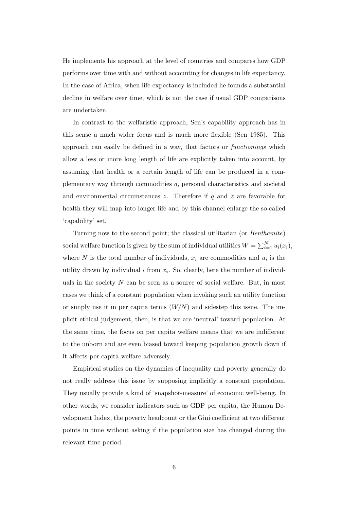He implements his approach at the level of countries and compares how GDP performs over time with and without accounting for changes in life expectancy. In the case of Africa, when life expectancy is included he founds a substantial decline in welfare over time, which is not the case if usual GDP comparisons are undertaken.

In contrast to the welfaristic approach, Sen's capability approach has in this sense a much wider focus and is much more flexible (Sen 1985). This approach can easily be defined in a way, that factors or *functionings* which allow a less or more long length of life are explicitly taken into account, by assuming that health or a certain length of life can be produced in a complementary way through commodities q, personal characteristics and societal and environmental circumstances  $z$ . Therefore if  $q$  and  $z$  are favorable for health they will map into longer life and by this channel enlarge the so-called 'capability' set.

Turning now to the second point; the classical utilitarian (or *Benthamite*) social welfare function is given by the sum of individual utilities  $W = \sum_{i=1}^{N} u_i(x_i)$ , where N is the total number of individuals,  $x_i$  are commodities and  $u_i$  is the utility drawn by individual i from  $x_i$ . So, clearly, here the number of individuals in the society  $N$  can be seen as a source of social welfare. But, in most cases we think of a constant population when invoking such an utility function or simply use it in per capita terms  $(W/N)$  and sidestep this issue. The implicit ethical judgement, then, is that we are 'neutral' toward population. At the same time, the focus on per capita welfare means that we are indifferent to the unborn and are even biased toward keeping population growth down if it affects per capita welfare adversely.

Empirical studies on the dynamics of inequality and poverty generally do not really address this issue by supposing implicitly a constant population. They usually provide a kind of 'snapshot-measure' of economic well-being. In other words, we consider indicators such as GDP per capita, the Human Development Index, the poverty headcount or the Gini coefficient at two different points in time without asking if the population size has changed during the relevant time period.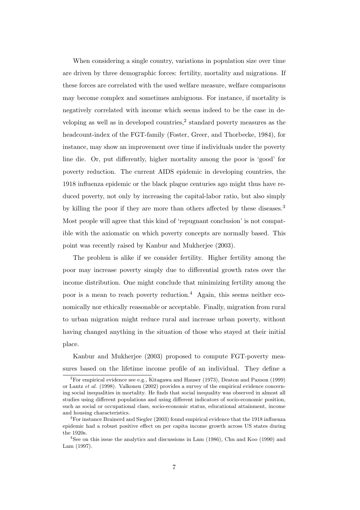When considering a single country, variations in population size over time are driven by three demographic forces: fertility, mortality and migrations. If these forces are correlated with the used welfare measure, welfare comparisons may become complex and sometimes ambiguous. For instance, if mortality is negatively correlated with income which seems indeed to be the case in developing as well as in developed countries,<sup>2</sup> standard poverty measures as the headcount-index of the FGT-family (Foster, Greer, and Thorbecke, 1984), for instance, may show an improvement over time if individuals under the poverty line die. Or, put differently, higher mortality among the poor is 'good' for poverty reduction. The current AIDS epidemic in developing countries, the 1918 influenza epidemic or the black plague centuries ago might thus have reduced poverty, not only by increasing the capital-labor ratio, but also simply by killing the poor if they are more than others affected by these diseases.<sup>3</sup> Most people will agree that this kind of 'repugnant conclusion' is not compatible with the axiomatic on which poverty concepts are normally based. This point was recently raised by Kanbur and Mukherjee (2003).

The problem is alike if we consider fertility. Higher fertility among the poor may increase poverty simply due to differential growth rates over the income distribution. One might conclude that minimizing fertility among the poor is a mean to reach poverty reduction.<sup>4</sup> Again, this seems neither economically nor ethically reasonable or acceptable. Finally, migration from rural to urban migration might reduce rural and increase urban poverty, without having changed anything in the situation of those who stayed at their initial place.

Kanbur and Mukherjee (2003) proposed to compute FGT-poverty measures based on the lifetime income profile of an individual. They define a

 ${}^{2}$  For empirical evidence see e.g., Kitagawa and Hauser (1973), Deaton and Paxson (1999) or Lantz *et al.* (1998). Valkonen (2002) provides a survey of the empirical evidence concerning social inequalities in mortality. He finds that social inequality was observed in almost all studies using different populations and using different indicators of socio-economic position, such as social or occupational class, socio-economic status, educational attainment, income and housing characteristics.

<sup>&</sup>lt;sup>3</sup>For instance Brainerd and Siegler (2003) found empirical evidence that the 1918 influenza epidemic had a robust positive effect on per capita income growth across US states during the 1920s.

<sup>&</sup>lt;sup>4</sup>See on this issue the analytics and discussions in Lam  $(1986)$ , Chu and Koo  $(1990)$  and Lam (1997).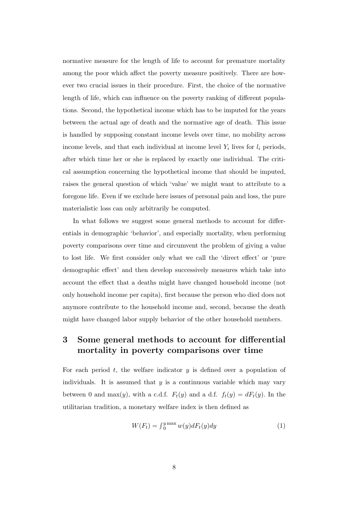normative measure for the length of life to account for premature mortality among the poor which affect the poverty measure positively. There are however two crucial issues in their procedure. First, the choice of the normative length of life, which can influence on the poverty ranking of different populations. Second, the hypothetical income which has to be imputed for the years between the actual age of death and the normative age of death. This issue is handled by supposing constant income levels over time, no mobility across income levels, and that each individual at income level  $Y_i$  lives for  $l_i$  periods, after which time her or she is replaced by exactly one individual. The critical assumption concerning the hypothetical income that should be imputed, raises the general question of which 'value' we might want to attribute to a foregone life. Even if we exclude here issues of personal pain and loss, the pure materialistic loss can only arbitrarily be computed.

In what follows we suggest some general methods to account for differentials in demographic 'behavior', and especially mortality, when performing poverty comparisons over time and circumvent the problem of giving a value to lost life. We first consider only what we call the 'direct effect' or 'pure demographic effect' and then develop successively measures which take into account the effect that a deaths might have changed household income (not only household income per capita), first because the person who died does not anymore contribute to the household income and, second, because the death might have changed labor supply behavior of the other household members.

### **3 Some general methods to account for differential mortality in poverty comparisons over time**

For each period  $t$ , the welfare indicator  $y$  is defined over a population of individuals. It is assumed that  $y$  is a continuous variable which may vary between 0 and max(y), with a c.d.f.  $F_t(y)$  and a d.f.  $f_t(y) = dF_t(y)$ . In the utilitarian tradition, a monetary welfare index is then defined as

$$
W(F_t) = \int_0^{y \max} w(y) dF_t(y) dy \tag{1}
$$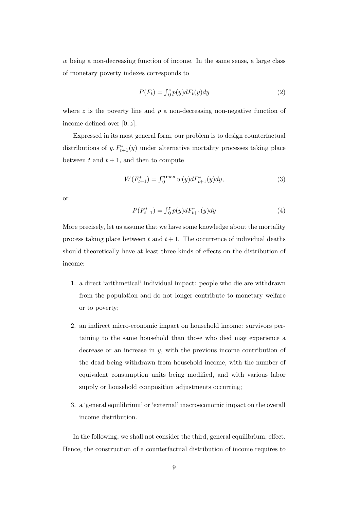w being a non-decreasing function of income. In the same sense, a large class of monetary poverty indexes corresponds to

$$
P(F_t) = \int_0^z p(y)dF_t(y)dy\tag{2}
$$

where  $z$  is the poverty line and  $p$  a non-decreasing non-negative function of income defined over  $[0; z]$ .

Expressed in its most general form, our problem is to design counterfactual distributions of  $y, F_{t+1}^*(y)$  under alternative mortality processes taking place between t and  $t + 1$ , and then to compute

$$
W(F_{t+1}^*) = \int_0^{y \max} w(y) dF_{t+1}^*(y) dy,
$$
\n(3)

or

$$
P(F_{t+1}^*) = \int_0^z p(y) dF_{t+1}^*(y) dy \tag{4}
$$

More precisely, let us assume that we have some knowledge about the mortality process taking place between t and  $t + 1$ . The occurrence of individual deaths should theoretically have at least three kinds of effects on the distribution of income:

- 1. a direct 'arithmetical' individual impact: people who die are withdrawn from the population and do not longer contribute to monetary welfare or to poverty;
- 2. an indirect micro-economic impact on household income: survivors pertaining to the same household than those who died may experience a decrease or an increase in  $y$ , with the previous income contribution of the dead being withdrawn from household income, with the number of equivalent consumption units being modified, and with various labor supply or household composition adjustments occurring;
- 3. a 'general equilibrium' or 'external' macroeconomic impact on the overall income distribution.

In the following, we shall not consider the third, general equilibrium, effect. Hence, the construction of a counterfactual distribution of income requires to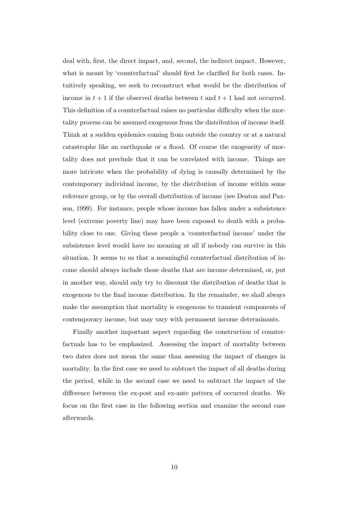deal with, first, the direct impact, and, second, the indirect impact. However, what is meant by 'counterfactual' should first be clarified for both cases. Intuitively speaking, we seek to reconstruct what would be the distribution of income in  $t + 1$  if the observed deaths between t and  $t + 1$  had not occurred. This definition of a counterfactual raises no particular difficulty when the mortality process can be assumed exogenous from the distribution of income itself. Think at a sudden epidemics coming from outside the country or at a natural catastrophe like an earthquake or a flood. Of course the exogeneity of mortality does not preclude that it can be correlated with income. Things are more intricate when the probability of dying is causally determined by the contemporary individual income, by the distribution of income within some reference group, or by the overall distribution of income (see Deaton and Paxson, 1999). For instance, people whose income has fallen under a subsistence level (extreme poverty line) may have been exposed to death with a probability close to one. Giving these people a 'counterfactual income' under the subsistence level would have no meaning at all if nobody can survive in this situation. It seems to us that a meaningful counterfactual distribution of income should always include those deaths that are income determined, or, put in another way, should only try to discount the distribution of deaths that is exogenous to the final income distribution. In the remainder, we shall always make the assumption that mortality is exogenous to transient components of contemporary income, but may vary with permanent income determinants.

Finally another important aspect regarding the construction of counterfactuals has to be emphasized. Assessing the impact of mortality between two dates does not mean the same than assessing the impact of changes in mortality. In the first case we need to subtract the impact of all deaths during the period, while in the second case we need to subtract the impact of the difference between the ex-post and ex-ante pattern of occurred deaths. We focus on the first case in the following section and examine the second case afterwards.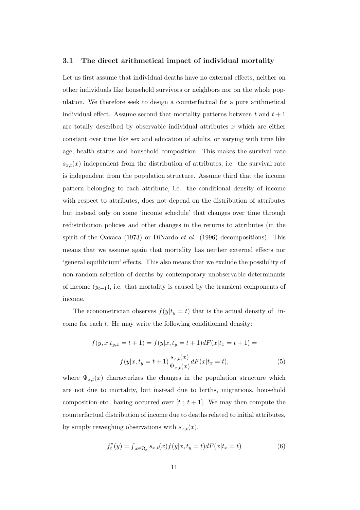#### **3.1 The direct arithmetical impact of individual mortality**

Let us first assume that individual deaths have no external effects, neither on other individuals like household survivors or neighbors nor on the whole population. We therefore seek to design a counterfactual for a pure arithmetical individual effect. Assume second that mortality patterns between t and  $t + 1$ are totally described by observable individual attributes  $x$  which are either constant over time like sex and education of adults, or varying with time like age, health status and household composition. This makes the survival rate  $s_{x,t}(x)$  independent from the distribution of attributes, i.e. the survival rate is independent from the population structure. Assume third that the income pattern belonging to each attribute, i.e. the conditional density of income with respect to attributes, does not depend on the distribution of attributes but instead only on some 'income schedule' that changes over time through redistribution policies and other changes in the returns to attributes (in the spirit of the Oaxaca (1973) or DiNardo *et al.* (1996) decompositions). This means that we assume again that mortality has neither external effects nor 'general equilibrium' effects. This also means that we exclude the possibility of non-random selection of deaths by contemporary unobservable determinants of income  $(y_{t+1})$ , i.e. that mortality is caused by the transient components of income.

The econometrician observes  $f(y|t_y = t)$  that is the actual density of income for each t. He may write the following conditionnal density:

$$
f(y, x|t_{y,x} = t + 1) = f(y|x, t_y = t + 1)dF(x|t_x = t + 1) =
$$
  

$$
f(y|x, t_y = t + 1)\frac{s_{x,t}(x)}{\Psi_{x,t}(x)}dF(x|t_x = t),
$$
 (5)

where  $\Psi_{x,t}(x)$  characterizes the changes in the population structure which are not due to mortality, but instead due to births, migrations, household composition etc. having occurred over  $[t : t + 1]$ . We may then compute the counterfactual distribution of income due to deaths related to initial attributes, by simply reweighing observations with  $s_{x,t}(x)$ .

$$
f_t^*(y) = \int_{x \in \Omega_x} s_{x,t}(x) f(y|x, t_y = t) dF(x|t_x = t)
$$
\n
$$
(6)
$$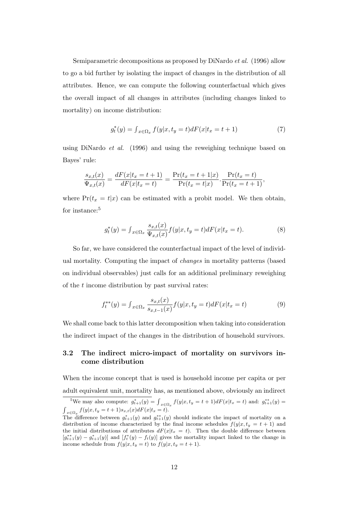Semiparametric decompositions as proposed by DiNardo *et al.* (1996) allow to go a bid further by isolating the impact of changes in the distribution of all attributes. Hence, we can compute the following counterfactual which gives the overall impact of all changes in attributes (including changes linked to mortality) on income distribution:

$$
g_t^*(y) = \int_{x \in \Omega_x} f(y|x, t_y = t) dF(x|t_x = t + 1)
$$
\n(7)

using DiNardo *et al.* (1996) and using the reweighing technique based on Bayes' rule:

$$
\frac{s_{x,t}(x)}{\Psi_{x,t}(x)} = \frac{dF(x|t_x = t + 1)}{dF(x|t_x = t)} = \frac{\Pr(t_x = t + 1|x)}{\Pr(t_x = t|x)} \cdot \frac{\Pr(t_x = t)}{\Pr(t_x = t + 1)},
$$

where  $Pr(t_x = t|x)$  can be estimated with a probit model. We then obtain, for instance:<sup>5</sup>

$$
g_t^*(y) = \int_{x \in \Omega_x} \frac{s_{x,t}(x)}{\Psi_{x,t}(x)} f(y|x, t_y = t) dF(x|t_x = t).
$$
 (8)

So far, we have considered the counterfactual impact of the level of individual mortality. Computing the impact of *changes* in mortality patterns (based on individual observables) just calls for an additional preliminary reweighing of the t income distribution by past survival rates:

$$
f_t^{**}(y) = \int_{x \in \Omega_x} \frac{s_{x,t}(x)}{s_{x,t-1}(x)} f(y|x, t_y = t) dF(x|t_x = t)
$$
(9)

We shall come back to this latter decomposition when taking into consideration the indirect impact of the changes in the distribution of household survivors.

### **3.2 The indirect micro-impact of mortality on survivors income distribution**

When the income concept that is used is household income per capita or per adult equivalent unit, mortality has, as mentioned above, obviously an indirect

<sup>&</sup>lt;sup>5</sup>We may also compute:  $g_{t+1}^*(y) = \int_{x \in \Omega_x} f(y|x, t_y = t+1) dF(x|t_x = t)$  and:  $g_{t+1}^{**}(y) =$  $\int_{x \in \Omega_x} f(y|x, t_y = t + 1) s_{x,t}(x) dF(x|t_x = t).$ 

The difference between  $g_{t+1}^*(y)$  and  $g_{t+1}^*(y)$  should indicate the impact of mortality on a distribution of income characterized by the final income schedules  $f(y|x, t_y = t + 1)$  and the initial distributions of attributes  $dF(x|t_x = t)$ . Then the double difference between  $[g_{t+1}^{**}(y) - g_{t+1}^{*}(y)]$  and  $[f_t^{*}(y) - f_t(y)]$  gives the mortality impact linked to the change in income schedule from  $f(y|x, t_y = t)$  to  $f(y|x, t_y = t + 1)$ .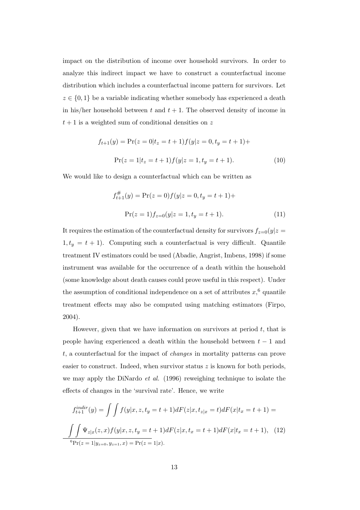impact on the distribution of income over household survivors. In order to analyze this indirect impact we have to construct a counterfactual income distribution which includes a counterfactual income pattern for survivors. Let  $z \in \{0,1\}$  be a variable indicating whether somebody has experienced a death in his/her household between  $t$  and  $t + 1$ . The observed density of income in  $t + 1$  is a weighted sum of conditional densities on z

$$
f_{t+1}(y) = \Pr(z=0|t_z=t+1)f(y|z=0, t_y=t+1)+
$$

$$
\Pr(z=1|t_z=t+1)f(y|z=1, t_y=t+1).
$$
 (10)

We would like to design a counterfactual which can be written as

$$
f_{t+1}^{\#}(y) = \Pr(z=0) f(y|z=0, t_y = t+1) +
$$

$$
\Pr(z=1) f_{z=0}(y|z=1, t_y = t+1).
$$
 (11)

It requires the estimation of the counterfactual density for survivors  $f_{z=0}(y|z=$  $1, t_y = t + 1$ ). Computing such a counterfactual is very difficult. Quantile treatment IV estimators could be used (Abadie, Angrist, Imbens, 1998) if some instrument was available for the occurrence of a death within the household (some knowledge about death causes could prove useful in this respect). Under the assumption of conditional independence on a set of attributes  $x,^6$  quantile treatment effects may also be computed using matching estimators (Firpo, 2004).

However, given that we have information on survivors at period  $t$ , that is people having experienced a death within the household between  $t - 1$  and t, a counterfactual for the impact of *changes* in mortality patterns can prove easier to construct. Indeed, when survivor status  $z$  is known for both periods, we may apply the DiNardo *et al.* (1996) reweighing technique to isolate the effects of changes in the 'survival rate'. Hence, we write

$$
f_{t+1}^{indir}(y) = \int \int f(y|x, z, t_y = t + 1) dF(z|x, t_{z|x} = t) dF(x|t_x = t + 1) =
$$

$$
\int \int \Psi_{z|x}(z, x) f(y|x, z, t_y = t + 1) dF(z|x, t_x = t + 1) dF(x|t_x = t + 1), \quad (12)
$$
<sup>6</sup>Pr(z = 1|y\_{z=0}, y\_{z=1}, x) = Pr(z = 1|x).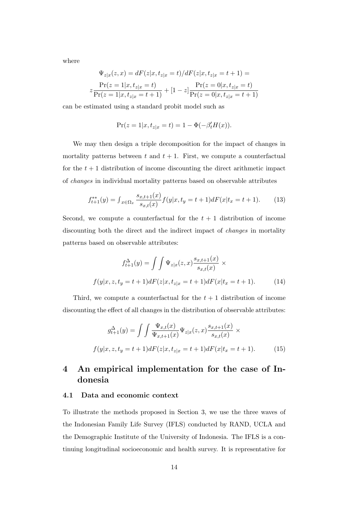where

$$
\Psi_{z|x}(z,x) = dF(z|x,t_{z|x} = t)/dF(z|x,t_{z|x} = t + 1) =
$$
\n
$$
z \frac{\Pr(z=1|x,t_{z|x} = t)}{\Pr(z=1|x,t_{z|x} = t + 1)} + [1-z] \frac{\Pr(z=0|x,t_{z|x} = t)}{\Pr(z=0|x,t_{z|x} = t + 1)}
$$

can be estimated using a standard probit model such as

$$
Pr(z = 1|x, t_{z|x} = t) = 1 - \Phi(-\beta'_t H(x)).
$$

We may then design a triple decomposition for the impact of changes in mortality patterns between t and  $t + 1$ . First, we compute a counterfactual for the  $t + 1$  distribution of income discounting the direct arithmetic impact of *changes* in individual mortality patterns based on observable attributes

$$
f_{t+1}^{**}(y) = \int_{x \in \Omega_x} \frac{s_{x,t+1}(x)}{s_{x,t}(x)} f(y|x, t_y = t+1) dF(x|t_x = t+1).
$$
 (13)

Second, we compute a counterfactual for the  $t + 1$  distribution of income discounting both the direct and the indirect impact of *changes* in mortality patterns based on observable attributes:

$$
f_{t+1}^{\Delta}(y) = \int \int \Psi_{z|x}(z,x) \frac{s_{x,t+1}(x)}{s_{x,t}(x)} \times
$$
  

$$
f(y|x, z, t_y = t+1) dF(z|x, t_{z|x} = t+1) dF(x|t_x = t+1).
$$
 (14)

Third, we compute a counterfactual for the  $t + 1$  distribution of income discounting the effect of all changes in the distribution of observable attributes:

$$
g_{t+1}^{\Delta}(y) = \int \int \frac{\Psi_{x,t}(x)}{\Psi_{x,t+1}(x)} \Psi_{z|x}(z,x) \frac{s_{x,t+1}(x)}{s_{x,t}(x)} \times
$$
  

$$
f(y|x,z,t_y=t+1) dF(z|x,t_{z|x}=t+1) dF(x|t_x=t+1).
$$
 (15)

### **4 An empirical implementation for the case of Indonesia**

#### **4.1 Data and economic context**

To illustrate the methods proposed in Section 3, we use the three waves of the Indonesian Family Life Survey (IFLS) conducted by RAND, UCLA and the Demographic Institute of the University of Indonesia. The IFLS is a continuing longitudinal socioeconomic and health survey. It is representative for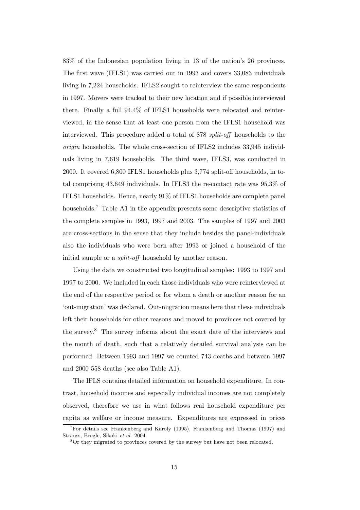83% of the Indonesian population living in 13 of the nation's 26 provinces. The first wave (IFLS1) was carried out in 1993 and covers 33,083 individuals living in 7,224 households. IFLS2 sought to reinterview the same respondents in 1997. Movers were tracked to their new location and if possible interviewed there. Finally a full 94.4% of IFLS1 households were relocated and reinterviewed, in the sense that at least one person from the IFLS1 household was interviewed. This procedure added a total of 878 *split-off* households to the *origin* households. The whole cross-section of IFLS2 includes 33,945 individuals living in 7,619 households. The third wave, IFLS3, was conducted in 2000. It covered 6,800 IFLS1 households plus 3,774 split-off households, in total comprising 43,649 individuals. In IFLS3 the re-contact rate was 95.3% of IFLS1 households. Hence, nearly 91% of IFLS1 households are complete panel households.<sup>7</sup> Table A1 in the appendix presents some descriptive statistics of the complete samples in 1993, 1997 and 2003. The samples of 1997 and 2003 are cross-sections in the sense that they include besides the panel-individuals also the individuals who were born after 1993 or joined a household of the initial sample or a *split-off* household by another reason.

Using the data we constructed two longitudinal samples: 1993 to 1997 and 1997 to 2000. We included in each those individuals who were reinterviewed at the end of the respective period or for whom a death or another reason for an 'out-migration' was declared. Out-migration means here that these individuals left their households for other reasons and moved to provinces not covered by the survey.<sup>8</sup> The survey informs about the exact date of the interviews and the month of death, such that a relatively detailed survival analysis can be performed. Between 1993 and 1997 we counted 743 deaths and between 1997 and 2000 558 deaths (see also Table A1).

The IFLS contains detailed information on household expenditure. In contrast, household incomes and especially individual incomes are not completely observed, therefore we use in what follows real household expenditure per capita as welfare or income measure. Expenditures are expressed in prices

<sup>7</sup>For details see Frankenberg and Karoly (1995), Frankenberg and Thomas (1997) and Strauss, Beegle, Sikoki *et al.* 2004.

<sup>&</sup>lt;sup>8</sup>Or they migrated to provinces covered by the survey but have not been relocated.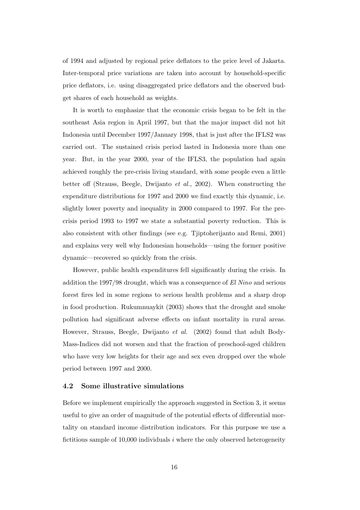of 1994 and adjusted by regional price deflators to the price level of Jakarta. Inter-temporal price variations are taken into account by household-specific price deflators, i.e. using disaggregated price deflators and the observed budget shares of each household as weights.

It is worth to emphasize that the economic crisis began to be felt in the southeast Asia region in April 1997, but that the major impact did not hit Indonesia until December 1997/January 1998, that is just after the IFLS2 was carried out. The sustained crisis period lasted in Indonesia more than one year. But, in the year 2000, year of the IFLS3, the population had again achieved roughly the pre-crisis living standard, with some people even a little better off (Strauss, Beegle, Dwijanto *et al.*, 2002). When constructing the expenditure distributions for 1997 and 2000 we find exactly this dynamic, i.e. slightly lower poverty and inequality in 2000 compared to 1997. For the precrisis period 1993 to 1997 we state a substantial poverty reduction. This is also consistent with other findings (see e.g. Tjiptoherijanto and Remi, 2001) and explains very well why Indonesian households—using the former positive dynamic—recovered so quickly from the crisis.

However, public health expenditures fell significantly during the crisis. In addition the 1997/98 drought, which was a consequence of *El Nino* and serious forest fires led in some regions to serious health problems and a sharp drop in food production. Rukumnuaykit (2003) shows that the drought and smoke pollution had significant adverse effects on infant mortality in rural areas. However, Strauss, Beegle, Dwijanto *et al.* (2002) found that adult Body-Mass-Indices did not worsen and that the fraction of preschool-aged children who have very low heights for their age and sex even dropped over the whole period between 1997 and 2000.

### **4.2 Some illustrative simulations**

Before we implement empirically the approach suggested in Section 3, it seems useful to give an order of magnitude of the potential effects of differential mortality on standard income distribution indicators. For this purpose we use a fictitious sample of 10,000 individuals  $i$  where the only observed heterogeneity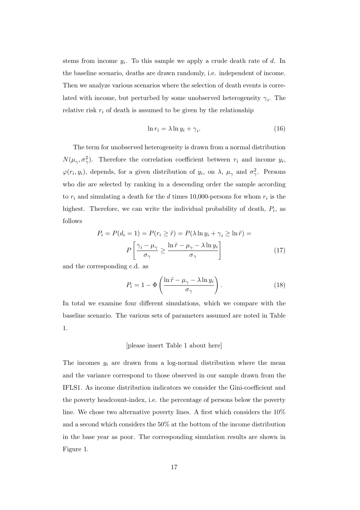stems from income  $y_i$ . To this sample we apply a crude death rate of d. In the baseline scenario, deaths are drawn randomly, i.e. independent of income. Then we analyze various scenarios where the selection of death events is correlated with income, but perturbed by some unobserved heterogeneity  $\gamma_i$ . The relative risk  $r_i$  of death is assumed to be given by the relationship

$$
\ln r_i = \lambda \ln y_i + \gamma_i. \tag{16}
$$

The term for unobserved heterogeneity is drawn from a normal distribution  $N(\mu_{\gamma}, \sigma_{\gamma}^2)$ . Therefore the correlation coefficient between  $r_i$  and income  $y_i$ ,  $\varphi(r_i, y_i)$ , depends, for a given distribution of  $y_i$ , on  $\lambda$ ,  $\mu_\gamma$  and  $\sigma_\gamma^2$ . Persons who die are selected by ranking in a descending order the sample according to  $r_i$  and simulating a death for the d times 10,000-persons for whom  $r_i$  is the highest. Therefore, we can write the individual probability of death,  $P_i$ , as follows

$$
P_i = P(d_i = 1) = P(r_i \ge \tilde{r}) = P(\lambda \ln y_i + \gamma_i \ge \ln \tilde{r}) =
$$

$$
P\left[\frac{\gamma_i - \mu_\gamma}{\sigma_\gamma} \ge \frac{\ln \tilde{r} - \mu_\gamma - \lambda \ln y_i}{\sigma_\gamma}\right]
$$
(17)

and the corresponding c.d. as

$$
P_i = 1 - \Phi\left(\frac{\ln \tilde{r} - \mu_\gamma - \lambda \ln y_i}{\sigma_\gamma}\right). \tag{18}
$$

In total we examine four different simulations, which we compare with the baseline scenario. The various sets of parameters assumed are noted in Table 1.

### [please insert Table 1 about here]

The incomes  $y_i$  are drawn from a log-normal distribution where the mean and the variance correspond to those observed in our sample drawn from the IFLS1. As income distribution indicators we consider the Gini-coefficient and the poverty headcount-index, i.e. the percentage of persons below the poverty line. We chose two alternative poverty lines. A first which considers the 10% and a second which considers the 50% at the bottom of the income distribution in the base year as poor. The corresponding simulation results are shown in Figure 1.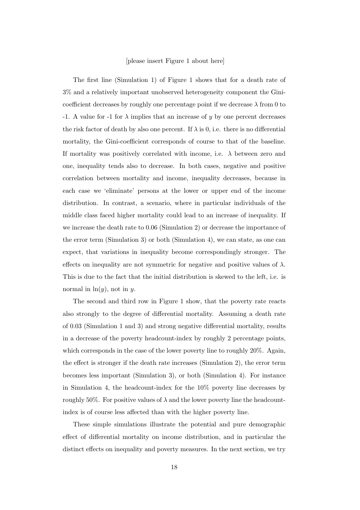#### [please insert Figure 1 about here]

The first line (Simulation 1) of Figure 1 shows that for a death rate of 3% and a relatively important unobserved heterogeneity component the Ginicoefficient decreases by roughly one percentage point if we decrease  $\lambda$  from 0 to -1. A value for -1 for  $\lambda$  implies that an increase of y by one percent decreases the risk factor of death by also one percent. If  $\lambda$  is 0, i.e. there is no differential mortality, the Gini-coefficient corresponds of course to that of the baseline. If mortality was positively correlated with income, i.e.  $\lambda$  between zero and one, inequality tends also to decrease. In both cases, negative and positive correlation between mortality and income, inequality decreases, because in each case we 'eliminate' persons at the lower or upper end of the income distribution. In contrast, a scenario, where in particular individuals of the middle class faced higher mortality could lead to an increase of inequality. If we increase the death rate to 0.06 (Simulation 2) or decrease the importance of the error term (Simulation 3) or both (Simulation 4), we can state, as one can expect, that variations in inequality become correspondingly stronger. The effects on inequality are not symmetric for negative and positive values of  $\lambda$ . This is due to the fact that the initial distribution is skewed to the left, i.e. is normal in  $\ln(y)$ , not in y.

The second and third row in Figure 1 show, that the poverty rate reacts also strongly to the degree of differential mortality. Assuming a death rate of 0.03 (Simulation 1 and 3) and strong negative differential mortality, results in a decrease of the poverty headcount-index by roughly 2 percentage points, which corresponds in the case of the lower poverty line to roughly 20%. Again, the effect is stronger if the death rate increases (Simulation 2), the error term becomes less important (Simulation 3), or both (Simulation 4). For instance in Simulation 4, the headcount-index for the 10% poverty line decreases by roughly 50%. For positive values of  $\lambda$  and the lower poverty line the headcountindex is of course less affected than with the higher poverty line.

These simple simulations illustrate the potential and pure demographic effect of differential mortality on income distribution, and in particular the distinct effects on inequality and poverty measures. In the next section, we try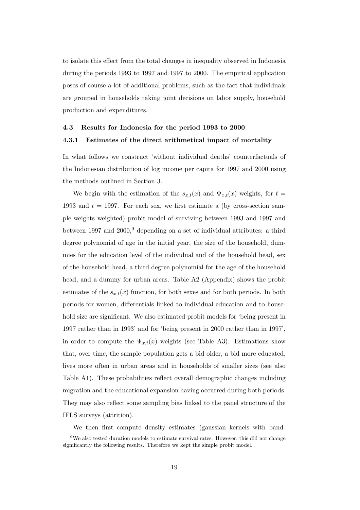to isolate this effect from the total changes in inequality observed in Indonesia during the periods 1993 to 1997 and 1997 to 2000. The empirical application poses of course a lot of additional problems, such as the fact that individuals are grouped in households taking joint decisions on labor supply, household production and expenditures.

### **4.3 Results for Indonesia for the period 1993 to 2000 4.3.1 Estimates of the direct arithmetical impact of mortality**

In what follows we construct 'without individual deaths' counterfactuals of the Indonesian distribution of log income per capita for 1997 and 2000 using the methods outlined in Section 3.

We begin with the estimation of the  $s_{x,t}(x)$  and  $\Psi_{x,t}(x)$  weights, for  $t =$ 1993 and  $t = 1997$ . For each sex, we first estimate a (by cross-section sample weights weighted) probit model of surviving between 1993 and 1997 and between 1997 and  $2000$ , depending on a set of individual attributes: a third degree polynomial of age in the initial year, the size of the household, dummies for the education level of the individual and of the household head, sex of the household head, a third degree polynomial for the age of the household head, and a dummy for urban areas. Table A2 (Appendix) shows the probit estimates of the  $s_{x,t}(x)$  function, for both sexes and for both periods. In both periods for women, differentials linked to individual education and to household size are significant. We also estimated probit models for 'being present in 1997 rather than in 1993' and for 'being present in 2000 rather than in 1997', in order to compute the  $\Psi_{x,t}(x)$  weights (see Table A3). Estimations show that, over time, the sample population gets a bid older, a bid more educated, lives more often in urban areas and in households of smaller sizes (see also Table A1). These probabilities reflect overall demographic changes including migration and the educational expansion having occurred during both periods. They may also reflect some sampling bias linked to the panel structure of the IFLS surveys (attrition).

We then first compute density estimates (gaussian kernels with band-

 $9W$ e also tested duration models to estimate survival rates. However, this did not change significantly the following results. Therefore we kept the simple probit model.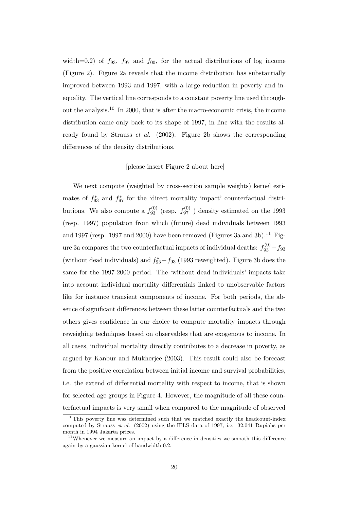width=0.2) of  $f_{93}$ ,  $f_{97}$  and  $f_{00}$ , for the actual distributions of log income (Figure 2). Figure 2a reveals that the income distribution has substantially improved between 1993 and 1997, with a large reduction in poverty and inequality. The vertical line corresponds to a constant poverty line used throughout the analysis.<sup>10</sup> In 2000, that is after the macro-economic crisis, the income distribution came only back to its shape of 1997, in line with the results already found by Strauss *et al.* (2002). Figure 2b shows the corresponding differences of the density distributions.

#### [please insert Figure 2 about here]

We next compute (weighted by cross-section sample weights) kernel estimates of  $f_{93}^*$  and  $f_{97}^*$  for the 'direct mortality impact' counterfactual distributions. We also compute a  $f_{93}^{(0)}$  (resp.  $f_{97}^{(0)}$  ) density estimated on the 1993 (resp. 1997) population from which (future) dead individuals between 1993 and 1997 (resp. 1997 and 2000) have been removed (Figures 3a and 3b).<sup>11</sup> Figure 3a compares the two counterfactual impacts of individual deaths:  $f_{93}^{(0)} - f_{93}$ (without dead individuals) and  $f_{93}^* - f_{93}$  (1993 reweighted). Figure 3b does the same for the 1997-2000 period. The 'without dead individuals' impacts take into account individual mortality differentials linked to unobservable factors like for instance transient components of income. For both periods, the absence of significant differences between these latter counterfactuals and the two others gives confidence in our choice to compute mortality impacts through reweighing techniques based on observables that are exogenous to income. In all cases, individual mortality directly contributes to a decrease in poverty, as argued by Kanbur and Mukherjee (2003). This result could also be forecast from the positive correlation between initial income and survival probabilities, i.e. the extend of differential mortality with respect to income, that is shown for selected age groups in Figure 4. However, the magnitude of all these counterfactual impacts is very small when compared to the magnitude of observed

 $10$ This poverty line was determined such that we matched exactly the headcount-index computed by Strauss *et al.* (2002) using the IFLS data of 1997, i.e. 32,041 Rupiahs per month in 1994 Jakarta prices.

 $11$ Whenever we measure an impact by a difference in densities we smooth this difference again by a gaussian kernel of bandwidth 0.2.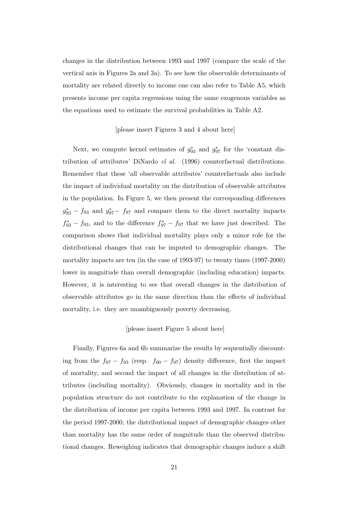changes in the distribution between 1993 and 1997 (compare the scale of the vertical axis in Figures 2a and 3a). To see how the observable determinants of mortality are related directly to income one can also refer to Table A5, which presents income per capita regressions using the same exogenous variables as the equations used to estimate the survival probabilities in Table A2.

#### [please insert Figures 3 and 4 about here]

Next, we compute kernel estimates of  $g_{93}^*$  and  $g_{97}^*$  for the 'constant distribution of attributes' DiNardo *el al.* (1996) counterfactual distributions. Remember that these 'all observable attributes' counterfactuals also include the impact of individual mortality on the distribution of observable attributes in the population. In Figure 5, we then present the corresponding differences  $g_{93}^* - f_{93}$  and  $g_{97}^* - f_{97}$  and compare them to the direct mortality impacts  $f_{93}^* - f_{93}$ , and to the difference  $f_{97}^* - f_{97}$  that we have just described. The comparison shows that individual mortality plays only a minor role for the distributional changes that can be imputed to demographic changes. The mortality impacts are ten (in the case of 1993-97) to twenty times (1997-2000) lower in magnitude than overall demographic (including education) impacts. However, it is interesting to see that overall changes in the distribution of observable attributes go in the same direction than the effects of individual mortality, i.e. they are unambiguously poverty decreasing.

### [please insert Figure 5 about here]

Finally, Figures 6a and 6b summarize the results by sequentially discounting from the  $f_{97} - f_{93}$  (resp.  $f_{00} - f_{97}$ ) density difference, first the impact of mortality, and second the impact of all changes in the distribution of attributes (including mortality). Obviously, changes in mortality and in the population structure do not contribute to the explanation of the change in the distribution of income per capita between 1993 and 1997. In contrast for the period 1997-2000, the distributional impact of demographic changes other than mortality has the same order of magnitude than the observed distributional changes. Reweighing indicates that demographic changes induce a shift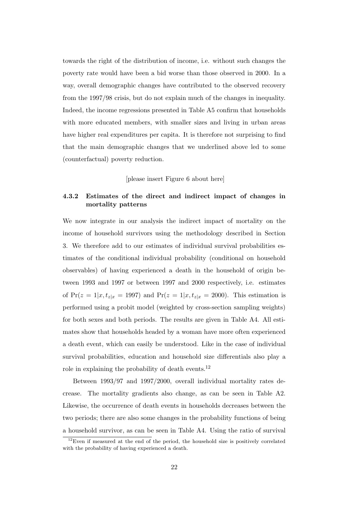towards the right of the distribution of income, i.e. without such changes the poverty rate would have been a bid worse than those observed in 2000. In a way, overall demographic changes have contributed to the observed recovery from the 1997/98 crisis, but do not explain much of the changes in inequality. Indeed, the income regressions presented in Table A5 confirm that households with more educated members, with smaller sizes and living in urban areas have higher real expenditures per capita. It is therefore not surprising to find that the main demographic changes that we underlined above led to some (counterfactual) poverty reduction.

[please insert Figure 6 about here]

### **4.3.2 Estimates of the direct and indirect impact of changes in mortality patterns**

We now integrate in our analysis the indirect impact of mortality on the income of household survivors using the methodology described in Section 3. We therefore add to our estimates of individual survival probabilities estimates of the conditional individual probability (conditional on household observables) of having experienced a death in the household of origin between 1993 and 1997 or between 1997 and 2000 respectively, i.e. estimates of  $Pr(z = 1|x, t_{z|x} = 1997)$  and  $Pr(z = 1|x, t_{z|x} = 2000)$ . This estimation is performed using a probit model (weighted by cross-section sampling weights) for both sexes and both periods. The results are given in Table A4. All estimates show that households headed by a woman have more often experienced a death event, which can easily be understood. Like in the case of individual survival probabilities, education and household size differentials also play a role in explaining the probability of death events.<sup>12</sup>

Between 1993/97 and 1997/2000, overall individual mortality rates decrease. The mortality gradients also change, as can be seen in Table A2. Likewise, the occurrence of death events in households decreases between the two periods; there are also some changes in the probability functions of being a household survivor, as can be seen in Table A4. Using the ratio of survival

 $12$ Even if measured at the end of the period, the household size is positively correlated with the probability of having experienced a death.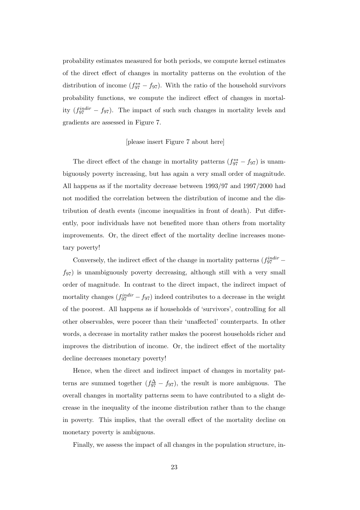probability estimates measured for both periods, we compute kernel estimates of the direct effect of changes in mortality patterns on the evolution of the distribution of income  $(f_{97}^{**} - f_{97})$ . With the ratio of the household survivors probability functions, we compute the indirect effect of changes in mortality  $(f_{97}^{indir} - f_{97})$ . The impact of such such changes in mortality levels and gradients are assessed in Figure 7.

### [please insert Figure 7 about here]

The direct effect of the change in mortality patterns  $(f_{97}^{**} - f_{97})$  is unambiguously poverty increasing, but has again a very small order of magnitude. All happens as if the mortality decrease between 1993/97 and 1997/2000 had not modified the correlation between the distribution of income and the distribution of death events (income inequalities in front of death). Put differently, poor individuals have not benefited more than others from mortality improvements. Or, the direct effect of the mortality decline increases monetary poverty!

Conversely, the indirect effect of the change in mortality patterns  $(f_{97}^{indir}$  $f_{97}$ ) is unambiguously poverty decreasing, although still with a very small order of magnitude. In contrast to the direct impact, the indirect impact of mortality changes  $(f_{97}^{indir} - f_{97})$  indeed contributes to a decrease in the weight of the poorest. All happens as if households of 'survivors', controlling for all other observables, were poorer than their 'unaffected' counterparts. In other words, a decrease in mortality rather makes the poorest households richer and improves the distribution of income. Or, the indirect effect of the mortality decline decreases monetary poverty!

Hence, when the direct and indirect impact of changes in mortality patterns are summed together  $(f_{97}^{\Delta} - f_{97})$ , the result is more ambiguous. The overall changes in mortality patterns seem to have contributed to a slight decrease in the inequality of the income distribution rather than to the change in poverty. This implies, that the overall effect of the mortality decline on monetary poverty is ambiguous.

Finally, we assess the impact of all changes in the population structure, in-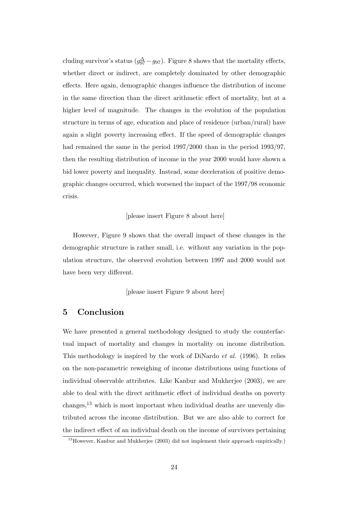cluding survivor's status  $(g_{97}^{\Delta} - g_{97})$ . Figure 8 shows that the mortality effects, whether direct or indirect, are completely dominated by other demographic effects. Here again, demographic changes influence the distribution of income in the same direction than the direct arithmetic effect of mortality, but at a higher level of magnitude. The changes in the evolution of the population structure in terms of age, education and place of residence (urban/rural) have again a slight poverty increasing effect. If the speed of demographic changes had remained the same in the period 1997/2000 than in the period 1993/97, then the resulting distribution of income in the year 2000 would have shown a bid lower poverty and inequality. Instead, some deceleration of positive demographic changes occurred, which worsened the impact of the 1997/98 economic crisis.

### [please insert Figure 8 about here]

However, Figure 9 shows that the overall impact of these changes in the demographic structure is rather small, i.e. without any variation in the population structure, the observed evolution between 1997 and 2000 would not have been very different.

[please insert Figure 9 about here]

### **5 Conclusion**

We have presented a general methodology designed to study the counterfactual impact of mortality and changes in mortality on income distribution. This methodology is inspired by the work of DiNardo *et al.* (1996). It relies on the non-parametric reweighing of income distributions using functions of individual observable attributes. Like Kanbur and Mukherjee (2003), we are able to deal with the direct arithmetic effect of individual deaths on poverty changes,<sup>13</sup> which is most important when individual deaths are unevenly distributed across the income distribution. But we are also able to correct for the indirect effect of an individual death on the income of survivors pertaining

<sup>13</sup>However, Kanbur and Mukherjee (2003) did not implement their approach empirically.)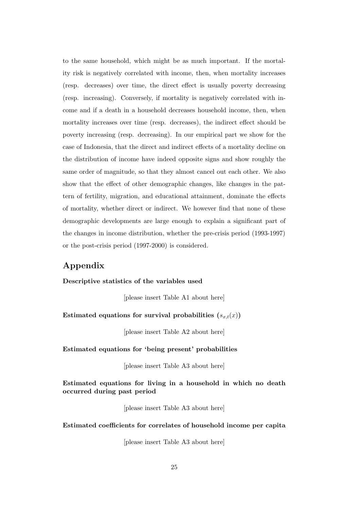to the same household, which might be as much important. If the mortality risk is negatively correlated with income, then, when mortality increases (resp. decreases) over time, the direct effect is usually poverty decreasing (resp. increasing). Conversely, if mortality is negatively correlated with income and if a death in a household decreases household income, then, when mortality increases over time (resp. decreases), the indirect effect should be poverty increasing (resp. decreasing). In our empirical part we show for the case of Indonesia, that the direct and indirect effects of a mortality decline on the distribution of income have indeed opposite signs and show roughly the same order of magnitude, so that they almost cancel out each other. We also show that the effect of other demographic changes, like changes in the pattern of fertility, migration, and educational attainment, dominate the effects of mortality, whether direct or indirect. We however find that none of these demographic developments are large enough to explain a significant part of the changes in income distribution, whether the pre-crisis period (1993-1997) or the post-crisis period (1997-2000) is considered.

### **Appendix**

### **Descriptive statistics of the variables used**

[please insert Table A1 about here]

### Estimated equations for survival probabilities  $(s_{x,t}(x))$

[please insert Table A2 about here]

### **Estimated equations for 'being present' probabilities**

[please insert Table A3 about here]

### **Estimated equations for living in a household in which no death occurred during past period**

[please insert Table A3 about here]

#### **Estimated coefficients for correlates of household income per capita**

[please insert Table A3 about here]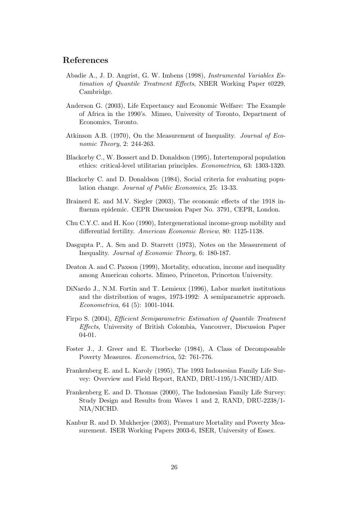### **References**

- Abadie A., J. D. Angrist, G. W. Imbens (1998), *Instrumental Variables Estimation of Quantile Treatment Effects*, NBER Working Paper t0229, Cambridge.
- Anderson G. (2003), Life Expectancy and Economic Welfare: The Example of Africa in the 1990's. Mimeo, University of Toronto, Department of Economics, Toronto.
- Atkinson A.B. (1970), On the Measurement of Inequality. *Journal of Economic Theory*, 2: 244-263.
- Blackorby C., W. Bossert and D. Donaldson (1995), Intertemporal population ethics: critical-level utilitarian principles. *Econometrica*, 63: 1303-1320.
- Blackorby C. and D. Donaldson (1984), Social criteria for evaluating population change. *Journal of Public Economics*, 25: 13-33.
- Brainerd E. and M.V. Siegler (2003), The economic effects of the 1918 influenza epidemic. CEPR Discussion Paper No. 3791, CEPR, London.
- Chu C.Y.C. and H. Koo (1990), Intergenerational income-group mobility and differential fertility. *American Economic Review*, 80: 1125-1138.
- Dasgupta P., A. Sen and D. Starrett (1973), Notes on the Measurement of Inequality. *Journal of Economic Theory*, 6: 180-187.
- Deaton A. and C. Paxson (1999), Mortality, education, income and inequality among American cohorts. Mimeo, Princeton, Princeton University.
- DiNardo J., N.M. Fortin and T. Lemieux (1996), Labor market institutions and the distribution of wages, 1973-1992: A semiparametric approach. *Econometrica*, 64 (5): 1001-1044.
- Firpo S. (2004), *Efficient Semiparametric Estimation of Quantile Treatment Effects*, University of British Colombia, Vancouver, Discussion Paper 04-01.
- Foster J., J. Greer and E. Thorbecke (1984), A Class of Decomposable Poverty Measures. *Econometrica*, 52: 761-776.
- Frankenberg E. and L. Karoly (1995), The 1993 Indonesian Family Life Survey: Overview and Field Report, RAND, DRU-1195/1-NICHD/AID.
- Frankenberg E. and D. Thomas (2000), The Indonesian Family Life Survey: Study Design and Results from Waves 1 and 2, RAND, DRU-2238/1- NIA/NICHD.
- Kanbur R. and D. Mukherjee (2003), Premature Mortality and Poverty Measurement. ISER Working Papers 2003-6, ISER, University of Essex.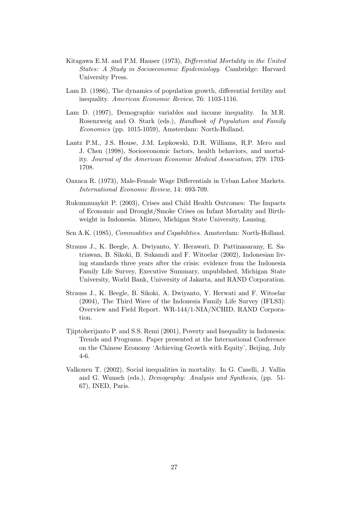- Kitagawa E.M. and P.M. Hauser (1973), *Differential Mortality in the United States: A Study in Socioeconomic Epidemiology.* Cambridge: Harvard University Press.
- Lam D. (1986), The dynamics of population growth, differential fertility and inequality. *American Economic Review*, 76: 1103-1116.
- Lam D. (1997), Demographic variables and income inequality. In M.R. Rosenzweig and O. Stark (eds.), *Handbook of Population and Family Economics* (pp. 1015-1059), Amsterdam: North-Holland.
- Lantz P.M., J.S. House, J.M. Lepkowski, D.R. Williams, R.P. Mero and J. Chen (1998), Socioeconomic factors, health behaviors, and mortality. *Journal of the American Economic Medical Association*, 279: 1703- 1708.
- Oaxaca R. (1973), Male-Female Wage Differentials in Urban Labor Markets. *International Economic Review*, 14: 693-709.
- Rukumnuaykit P. (2003), Crises and Child Health Outcomes: The Impacts of Economic and Drought/Smoke Crises on Infant Mortality and Birthweight in Indonesia. Mimeo, Michigan State University, Lansing.
- Sen A.K. (1985), *Commodities and Capabilities*. Amsterdam: North-Holland.
- Strauss J., K. Beegle, A. Dwiyanto, Y. Herawati, D. Pattinasarany, E. Satriawan, B. Sikoki, B. Sukamdi and F. Witoelar (2002), Indonesian living standards three years after the crisis: evidence from the Indonesia Family Life Survey, Executive Summary, unpublished, Michigan State University, World Bank, University of Jakarta, and RAND Corporation.
- Strauss J., K. Beegle, B. Sikoki, A. Dwiyanto, Y. Herwati and F. Witoelar (2004), The Third Wave of the Indonesia Family Life Survey (IFLS3): Overview and Field Report. WR-144/1-NIA/NCHID, RAND Corporation.
- Tjiptoherijanto P. and S.S. Remi (2001), Poverty and Inequality in Indonesia: Trends and Programs. Paper presented at the International Conference on the Chinese Economy 'Achieving Growth with Equity', Beijing, July 4-6.
- Valkonen T. (2002), Social inequalities in mortality. In G. Caselli, J. Vallin and G. Wunsch (eds.), *Demography: Analysis and Synthesis*, (pp. 51- 67), INED, Paris.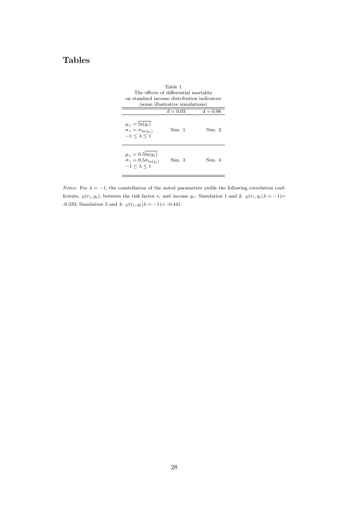# **Tables**

| Table 1<br>The effects of differential mortality<br>on standard income distribution indicators<br>(some illustrative simulations) |            |            |  |  |  |  |  |  |  |
|-----------------------------------------------------------------------------------------------------------------------------------|------------|------------|--|--|--|--|--|--|--|
|                                                                                                                                   | $d = 0.03$ | $d = 0.06$ |  |  |  |  |  |  |  |
| $\mu_{\gamma} = \ln(y_i)$<br>$\sigma_{\gamma} = \sigma_{\ln(u_i)}$<br>$-1 < \lambda < 1$                                          | Sim. 1     | Sim 2      |  |  |  |  |  |  |  |
| $\mu_{\gamma} = 0.5\ln(y_i)$<br>$\sigma_{\gamma} = 0.5 \sigma_{\ln(u_i)}$<br>$-1 < \lambda < 1$                                   | Sim. 3     | Sim. 4     |  |  |  |  |  |  |  |

*Notes:* For  $\lambda = -1$ , the constellation of the noted parameters yields the following correlation coefficients,  $\varphi(r_i, y_i)$ , between the risk factor  $r_i$  and income  $y_i$ : Simulation 1 and 2:  $\varphi(r_i, y_i|\lambda = -1)$ = -0.333; Simulation 3 and 4:  $\varphi(r_i, y_i | \lambda = -1) = -0.441$ .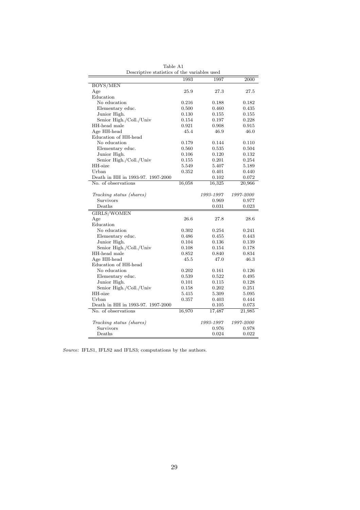|                                   | 1993   | 1997      | 2000      |
|-----------------------------------|--------|-----------|-----------|
| <b>BOYS/MEN</b>                   |        |           |           |
| Age                               | 25.9   | 27.3      | 27.5      |
| Education                         |        |           |           |
| No education                      | 0.216  | 0.188     | 0.182     |
| Elementary educ.                  | 0.500  | 0.460     | 0.435     |
| Junior High.                      | 0.130  | 0.155     | 0.155     |
| Senior High./Coll./Univ           | 0.154  | 0.197     | 0.228     |
| HH-head male                      | 0.921  | 0.908     | 0.915     |
| Age HH-head                       | 45.4   | 46.9      | 46.0      |
| Education of HH-head              |        |           |           |
| No education                      | 0.179  | 0.144     | 0.110     |
| Elementary educ.                  | 0.560  | 0.535     | 0.504     |
| Junior High.                      | 0.106  | 0.120     | 0.132     |
| Senior High./Coll./Univ           | 0.155  | 0.201     | 0.254     |
| HH-size                           | 5.549  | 5.407     | 5.189     |
| Urban                             | 0.352  | 0.401     | 0.440     |
| Death in HH in 1993-97. 1997-2000 |        | 0.102     | 0.072     |
| No. of observations               | 16,058 | 16,325    | 20,966    |
|                                   |        |           |           |
| Tracking status (shares)          |        | 1993-1997 | 1997-2000 |
| Survivors                         |        | 0.969     | 0.977     |
| Deaths                            |        | 0.031     | 0.023     |
| GIRLS/WOMEN                       |        |           |           |
| Age                               | 26.6   | 27.8      | 28.6      |
| Education                         |        |           |           |
| No education                      | 0.302  | 0.254     | 0.241     |
| Elementary educ.                  | 0.486  | 0.455     | 0.443     |
| Junior High.                      | 0.104  | 0.136     | 0.139     |
| Senior High./Coll./Univ           | 0.108  | 0.154     | 0.178     |
| HH-head male                      | 0.852  | 0.840     | 0.834     |
| Age HH-head                       | 45.5   | 47.0      | 46.3      |
| Education of HH-head              |        |           |           |
| No education                      | 0.202  | 0.161     | 0.126     |
| Elementary educ.                  | 0.539  | 0.522     | 0.495     |
| Junior High.                      | 0.101  | 0.115     | 0.128     |
| Senior High./Coll./Univ           | 0.158  | 0.202     | 0.251     |
| HH-size                           | 5.415  | 5.309     | 5.095     |
| Urban                             | 0.357  | 0.403     | 0.444     |
| Death in HH in 1993-97. 1997-2000 |        | 0.105     | 0.073     |
| No. of observations               |        |           |           |
|                                   | 16,970 | 17,487    | 21,985    |
| Tracking status (shares)          |        | 1993-1997 | 1997-2000 |
| Survivors                         |        | 0.976     | 0.978     |
| Deaths                            |        | 0.024     | 0.022     |

Table A1 Descriptive statistics of the variables used

*Source:* IFLS1, IFLS2 and IFLS3; computations by the authors.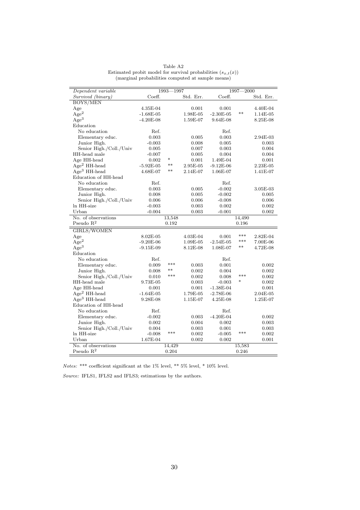| Dependent variable      |             | 1993-<br>$-1997$ |           |             | 1997-<br>-2000 |            |
|-------------------------|-------------|------------------|-----------|-------------|----------------|------------|
| Survived (binary)       | Coeff.      |                  | Std. Err. | Coeff.      |                | Std. Err.  |
| <b>BOYS/MEN</b>         |             |                  |           |             |                |            |
| Age                     | 4.35E-04    |                  | 0.001     | 0.001       |                | 4.40E-04   |
| Age <sup>2</sup>        | $-1.68E-05$ |                  | 1.98E-05  | $-2.30E-05$ | $***$          | 1.14E-05   |
| Age <sup>3</sup>        | $-4.20E-08$ |                  | 1.59E-07  | 9.64E-08    |                | 8.25E-08   |
| Education               |             |                  |           |             |                |            |
| No education            | Ref.        |                  |           | Ref.        |                |            |
| Elementary educ.        | 0.003       |                  | 0.005     | 0.003       |                | 2.94E-03   |
| Junior High.            | $-0.003$    |                  | 0.008     | 0.005       |                | 0.003      |
| Senior High./Coll./Univ | 0.005       |                  | 0.007     | 0.003       |                | 0.004      |
| HH-head male            | $-0.007$    |                  | 0.005     | 0.004       |                | 0.004      |
| Age HH-head             | 0.002       | *                | 0.001     | 1.49E-04    |                | 0.001      |
| $\rm{Age^2}$ HH-head    | $-5.92E-05$ | $***$            | 2.95E-05  | $-9.12E-06$ |                | 2.23E-05   |
| $Age3 HH-head$          | 4.68E-07    | $***$            | 2.14E-07  | 1.06E-07    |                | 1.41E-07   |
| Education of HH-head    |             |                  |           |             |                |            |
| No education            | Ref.        |                  |           | Ref.        |                |            |
| Elementary educ.        | 0.003       |                  | 0.005     | $-0.002$    |                | 3.05E-03   |
| Junior High.            | 0.008       |                  | 0.005     | $-0.002$    |                | 0.005      |
| Senior High./Coll./Univ | 0.006       |                  | 0.006     | $-0.008$    |                | 0.006      |
| ln HH-size              | -0.003      |                  | 0.003     | 0.002       |                | 0.002      |
| Urban                   | $-0.004$    |                  | 0.003     | $-0.001$    |                | 0.002      |
| No. of observations     |             | 13,548           |           |             | 14,490         |            |
| Pseudo $R^2$            |             | 0.192            |           |             | 0.196          |            |
| <b>GIRLS/WOMEN</b>      |             |                  |           |             |                |            |
| Age                     | 8.02E-05    |                  | 4.03E-04  | 0.001       | $***$          | $2.82E-04$ |
| Age <sup>2</sup>        | $-9.20E-06$ |                  | 1.09E-05  | $-2.54E-05$ | ***            | 7.00E-06   |
| Age <sup>3</sup>        | $-9.15E-09$ |                  | 8.12E-08  | 1.08E-07    | $***$          | 4.72E-08   |
| Education               |             |                  |           |             |                |            |
| No education            | Ref.        |                  |           | Ref.        |                |            |
| Elementary educ.        | 0.009       | ***              | 0.003     | 0.001       |                | 0.002      |
| Junior High.            | 0.008       | $***$            | 0.002     | 0.004       |                | 0.002      |
| Senior High./Coll./Univ |             | ***              | 0.002     | 0.008       | ***            |            |
| HH-head male            | 0.010       |                  |           |             | $\ast$         | 0.002      |
|                         | 9.73E-05    |                  | 0.003     | $-0.003$    |                | 0.002      |
| Age HH-head             | 0.001       |                  | 0.001     | $-1.38E-04$ |                | 0.001      |
| $Age2 HH-head$          | $-1.64E-05$ |                  | 1.79E-05  | $-2.78E-06$ |                | 2.04E-05   |
| $Age3 HH-head$          | 9.28E-08    |                  | 1.15E-07  | 4.25E-08    |                | 1.25E-07   |
| Education of HH-head    |             |                  |           |             |                |            |
| No education            | Ref.        |                  |           | Ref.        |                |            |
| Elementary educ.        | $-0.002$    |                  | 0.003     | $-4.20E-04$ |                | 0.002      |
| Junior High.            | 0.002       |                  | 0.004     | 0.002       |                | 0.003      |
| Senior High./Coll./Univ | 0.004       |                  | 0.003     | 0.001       |                | 0.003      |
| ln HH-size              | $-0.008$    | ***              | 0.002     | $-0.005$    | ***            | 0.002      |
| Urban                   | 1.67E-04    |                  | 0.002     | 0.002       |                | 0.001      |
| No. of observations     |             | 14,429           |           |             | 15,583         |            |
| Pseudo $R^2$            |             | 0.204            |           |             | 0.246          |            |

Table A2 Estimated probit model for survival probabilities  $(s_{x,t}(x))$ (marginal probabilities computed at sample means)

 $Notes:$  \*\*\* coefficient significant at the 1% level, \*\* 5% level, \* 10% level.

*Source:* IFLS1, IFLS2 and IFLS3; estimations by the authors.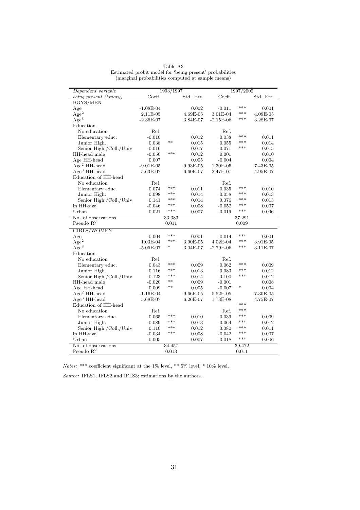| Dependent variable           |             | 1993/1997 |                              |             | 1997/2000 |           |
|------------------------------|-------------|-----------|------------------------------|-------------|-----------|-----------|
| being present (binary)       | Coeff.      |           | Std. Err.                    | Coeff.      |           | Std. Err. |
| BOYS/MEN                     |             |           |                              |             |           |           |
| Age                          | $-1.08E-04$ |           | 0.002                        | $-0.011$    | ***       | 0.001     |
| Age <sup>2</sup>             | 2.11E-05    |           | 4.69E-05                     | 3.01E-04    | ***       | 4.09E-05  |
| Age <sup>3</sup>             | $-2.36E-07$ |           | 3.84E-07                     | $-2.15E-06$ | ***       | 3.28E-07  |
| Education                    |             |           |                              |             |           |           |
| No education                 | Ref.        |           |                              | Ref.        |           |           |
| Elementary educ.             | $-0.010$    |           | 0.012                        | 0.038       | ***       | 0.011     |
| Junior High.                 | 0.038       | $***$     | 0.015                        | 0.055       | ***       | 0.014     |
| Senior High./Coll./Univ      | 0.016       |           | 0.017                        | 0.071       | ***       | 0.015     |
| HH-head male                 | $-0.050$    | ***       | 0.012                        | 0.001       |           | 0.010     |
| Age HH-head                  | 0.007       |           | 0.005                        | $-0.004$    |           | 0.004     |
| $Age2 HH-head$               | $-9.01E-05$ |           | 9.93E-05                     | 1.30E-05    |           | 7.43E-05  |
| $Age3 HH-head$               | 5.63E-07    |           | 6.60E-07                     | 2.47E-07    |           | 4.95E-07  |
| Education of HH-head         |             |           |                              |             |           |           |
| No education                 | Ref.        |           |                              | Ref.        |           |           |
| Elementary educ.             | 0.074       | ***       | 0.011                        | 0.035       | ***       | 0.010     |
| Junior High.                 | 0.098       | ***       | 0.014                        | 0.058       | ***       | 0.013     |
| Senior High./Coll./Univ      | 0.141       | ***       | 0.014                        | 0.076       | ***       | 0.013     |
| In HH-size                   | $-0.046$    | ***       | 0.008                        | $-0.052$    | ***       | 0.007     |
| Urban                        | 0.021       | ***       | 0.007                        | 0.019       | ***       | 0.006     |
| No. of observations          |             | 33,383    |                              |             | 37,291    |           |
| Pseudo $R^2$                 |             | 0.011     |                              |             | 0.009     |           |
| GIRLS/WOMEN                  |             |           |                              |             |           |           |
| Age                          | $-0.004$    | $***$     | 0.001                        | $-0.014$    | ***       | 0.001     |
| Age <sup>2</sup>             | 1.03E-04    | ***       | $3.90\mathrm{E}{\text{-}}05$ | 4.02E-04    | ***       | 3.91E-05  |
| Age <sup>3</sup>             | $-5.05E-07$ | $\ast$    | 3.04E-07                     | $-2.79E-06$ | ***       | 3.11E-07  |
| Education                    |             |           |                              |             |           |           |
| No education                 | Ref.        |           |                              | Ref.        |           |           |
| Elementary educ.             | 0.043       | ***       | 0.009                        | 0.062       | ***       | 0.009     |
| Junior High.                 | 0.116       | ***       | 0.013                        | 0.083       | ***       | 0.012     |
| Senior High./Coll./Univ      | 0.123       | ***       | 0.014                        | 0.100       | ***       | 0.012     |
| HH-head male                 | $-0.020$    | $**$      | 0.009                        | $-0.001$    |           | 0.008     |
| Age HH-head                  | 0.009       | $**$      | 0.005                        | $-0.007$    | $\ast$    | 0.004     |
| $Age2 HH-head$               | $-1.16E-04$ |           | 9.66E-05                     | 5.52E-05    |           | 7.30E-05  |
| $Age3 HH-head$               | 5.68E-07    |           | 6.26E-07                     | 1.73E-08    |           | 4.75E-07  |
| Education of HH-head         |             |           |                              |             | ***       |           |
| No education                 | Ref.        |           |                              | Ref.        | ***       |           |
| Elementary educ.             | 0.065       | ***       | 0.010                        | 0.039       | ***       | 0.009     |
| Junior High.                 | 0.089       | ***       | 0.013                        | 0.064       | ***       | 0.012     |
| Senior High./Coll./Univ      | 0.110       | ***       | 0.012                        | 0.080       | ***       | 0.011     |
| In HH-size                   | $-0.034$    | ***       | 0.008                        | $-0.042$    | ***       | 0.007     |
|                              |             |           |                              |             | ***       |           |
|                              |             |           |                              |             |           |           |
| Urban<br>No. of observations | 0.005       | 34,457    | 0.007                        | 0.018       | 39,472    | 0.006     |

Table A3 Estimated probit model for 'being present' probabilities (marginal probabilities computed at sample means)

 $Notes:$  \*\*\* coefficient significant at the 1% level, \*\* 5% level, \* 10% level.

*Source:* IFLS1, IFLS2 and IFLS3; estimations by the authors.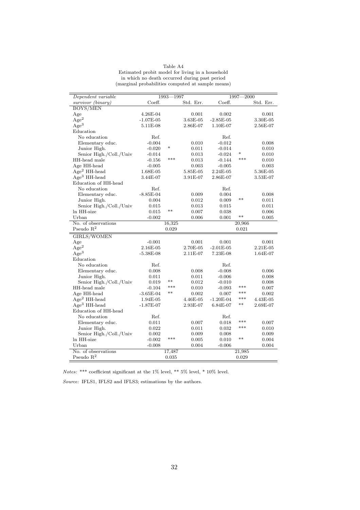| Table A4                                          |  |
|---------------------------------------------------|--|
| Estimated probit model for living in a household  |  |
| in which no death occurred during past period     |  |
| (marginal probabilities computed at sample means) |  |
|                                                   |  |

| Dependent variable                  |             | 1993-1997       |           | $1997 - 2000$ |                 |            |  |
|-------------------------------------|-------------|-----------------|-----------|---------------|-----------------|------------|--|
| survivor (binary)                   | Coeff.      |                 | Std. Err. | Coeff.        |                 | Std. Err.  |  |
| BOYS/MEN                            |             |                 |           |               |                 |            |  |
| Age                                 | 4.26E-04    |                 | 0.001     | 0.002         |                 | 0.001      |  |
| $\rm{Age^2}$                        | $-1.07E-05$ |                 | 3.63E-05  | $-2.85E-05$   |                 | 3.30E-05   |  |
| Age <sup>3</sup>                    | 5.11E-08    |                 | 2.86E-07  | 1.10E-07      |                 | 2.56E-07   |  |
| Education                           |             |                 |           |               |                 |            |  |
| No education                        | Ref.        |                 |           | Ref.          |                 |            |  |
| Elementary educ.                    | $-0.004$    |                 | 0.010     | $-0.012$      |                 | 0.008      |  |
| Junior High.                        | $-0.020$    | $\ast$          | 0.011     | $-0.014$      |                 | 0.010      |  |
| Senior High./Coll./Univ             | $-0.014$    |                 | 0.013     | $-0.024$      | *               | 0.010      |  |
| HH-head male                        | $-0.156$    | ***             | 0.013     | $-0.144$      | ***             | 0.010      |  |
| Age HH-head                         | $-0.005$    |                 | 0.003     | $-0.005$      |                 | 0.003      |  |
| $Age2 HH-head$                      | 1.68E-05    |                 | 5.85E-05  | 2.24E-05      |                 | 5.36E-05   |  |
| $Age3 HH-head$                      | 3.44E-07    |                 | 3.91E-07  | 2.86E-07      |                 | 3.53E-07   |  |
| Education of HH-head                |             |                 |           |               |                 |            |  |
| No education                        | Ref.        |                 |           | Ref.          |                 |            |  |
| Elementary educ.                    | $-8.85E-04$ |                 | 0.009     | 0.004         |                 | 0.008      |  |
| Junior High.                        | 0.004       |                 | 0.012     | 0.009         | $***$           | 0.011      |  |
| Senior High./Coll./Univ             | 0.015       |                 | 0.013     | 0.015         |                 | 0.011      |  |
| ln HH-size                          | 0.015       | $***$           | 0.007     | 0.038         |                 | 0.006      |  |
| Urban                               | $-0.002$    |                 | 0.006     | 0.001         | $***$           | 0.005      |  |
| No. of observations                 |             | 16,325          |           |               | 20,966          |            |  |
| Pseudo $R^2$                        |             | 0.029           |           |               | 0.021           |            |  |
|                                     |             |                 |           |               |                 |            |  |
|                                     |             |                 |           |               |                 |            |  |
| <b>GIRLS/WOMEN</b>                  |             |                 |           |               |                 |            |  |
| Age                                 | $-0.001$    |                 | 0.001     | 0.001         |                 | 0.001      |  |
| $\rm{Age}^2$                        | 2.16E-05    |                 | 2.70E-05  | $-2.01E-05$   |                 | 2.21E-05   |  |
| $\rm{Age^3}$                        | $-5.38E-08$ |                 | 2.11E-07  | 7.23E-08      |                 | $1.64E-07$ |  |
| Education                           |             |                 |           |               |                 |            |  |
| No education                        | Ref.        |                 |           | Ref.          |                 |            |  |
| Elementary educ.                    | 0.008       |                 | 0.008     | $-0.008$      |                 | 0.006      |  |
| Junior High.                        | 0.011       | $**$            | 0.011     | $-0.006$      |                 | 0.008      |  |
| Senior High./Coll./Univ             | 0.019       | ***             | 0.012     | $-0.010$      | ***             | 0.008      |  |
| HH-head male                        | $-0.104$    | $**$            | 0.010     | $-0.093$      | ***             | 0.007      |  |
| Age HH-head                         | $-3.65E-04$ |                 | 0.002     | 0.007         | ***             | 0.002      |  |
| $Age2 HH-head$                      | 1.94E-05    |                 | 4.46E-05  | $-1.20E-04$   | $***$           | 4.43E-05   |  |
| $Age3 HH-head$                      | $-1.87E-07$ |                 | 2.93E-07  | 6.84E-07      |                 | 2.69E-07   |  |
| Education of HH-head                |             |                 |           |               |                 |            |  |
| No education                        | Ref.        |                 |           | Ref.          | ***             |            |  |
| Elementary educ.                    | 0.011       |                 | 0.007     | 0.018         | ***             | 0.007      |  |
| Junior High.                        | 0.022       |                 | 0.011     | 0.032         |                 | 0.010      |  |
| Senior High./Coll./Univ             | 0.002       | ***             | 0.009     | 0.008         | $**$            | 0.009      |  |
| ln HH-size                          | $-0.002$    |                 | 0.005     | 0.010         |                 | 0.004      |  |
| Urban                               | $-0.008$    |                 | 0.004     | $-0.006$      |                 | 0.004      |  |
| No. of observations<br>Pseudo $R^2$ |             | 17,487<br>0.035 |           |               | 21,985<br>0.029 |            |  |

 $Notes:$  \*\*\* coefficient significant at the 1% level, \*\* 5% level, \* 10% level.

*Source:* IFLS1, IFLS2 and IFLS3; estimations by the authors.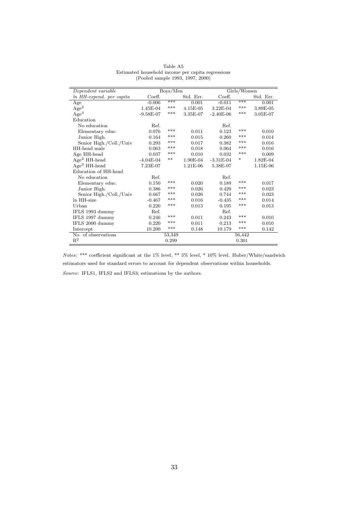| Dependent variable       | Boys/Men    |        |            |             | Girls/Women |           |
|--------------------------|-------------|--------|------------|-------------|-------------|-----------|
| ln HH-expend. per capita | Coeff.      |        | Std. Err.  | Coeff.      |             | Std. Err. |
| Age                      | $-0.006$    | ***    | 0.001      | $-0.011$    | ***         | 0.001     |
| $\rm{Age}^2$             | 1.45E-04    | ***    | 4.15E-05   | 3.22E-04    | ***         | 3.89E-05  |
| Age <sup>3</sup>         | $-9.58E-07$ | ***    | 3.35E-07   | $-2.40E-06$ | ***         | 3.05E-07  |
| Education                |             |        |            |             |             |           |
| No education             | Ref.        |        |            | Ref.        |             |           |
| Elementary educ.         | 0.076       | $***$  | 0.011      | 0.123       | $***$       | 0.010     |
| Junior High.             | 0.164       | $***$  | 0.015      | 0.260       | ***         | 0.014     |
| Senior High./Coll./Univ  | 0.293       | $***$  | 0.017      | 0.382       | $***$       | 0.016     |
| HH-head male             | 0.063       | $***$  | 0.018      | 0.064       | $***$       | 0.016     |
| Age HH-head              | 0.037       | ***    | 0.010      | 0.032       | ***         | 0.009     |
| $Age2 HH-head$           | $-4.04E-04$ | $***$  | 1.90E-04   | $-3.31E-04$ | *           | 1.82E-04  |
| $Age3 HH-head$           | 7.23E-07    |        | $1.21E-06$ | 5.38E-07    |             | 1.15E-06  |
| Education of HH-head     |             |        |            |             |             |           |
| No education             | Ref.        |        |            | Ref.        |             |           |
| Elementary educ.         | 0.150       | ***    | 0.020      | 0.189       | ***         | 0.017     |
| Junior High.             | 0.386       | $***$  | 0.026      | 0.429       | ***         | 0.023     |
| Senior High./Coll./Univ  | 0.667       | $***$  | 0.026      | 0.744       | ***         | 0.023     |
| In HH-size               | $-0.467$    | ***    | 0.016      | $-0.435$    | ***         | 0.014     |
| Urban                    | 0.220       | ***    | 0.013      | 0.195       | ***         | 0.013     |
| IFLS 1993 dummy          | Ref.        |        |            | Ref.        |             |           |
| IFLS 1997 dummy          | 0.246       | ***    | 0.011      | 0.243       | ***         | 0.010     |
| IFLS 2000 dummy          | 0.220       | $***$  | 0.011      | 0.213       | $***$       | 0.010     |
| Intercept                | 10.200      | $***$  | 0.148      | 10.179      | $***$       | 0.142     |
| No. of observations      |             | 53,349 |            |             | 56,442      |           |
| $\mathbb{R}^2$           |             | 0.299  |            |             | 0.301       |           |

Table A5 Estimated household income per capita regressions (Pooled sample 1993, 1997, 2000)

*Notes:* \*\*\* coefficient significant at the 1% level, \*\* 5% level, \* 10% level. Huber/White/sandwich estimators used for standard errors to account for dependent observations within households. *Source:* IFLS1, IFLS2 and IFLS3; estimations by the authors.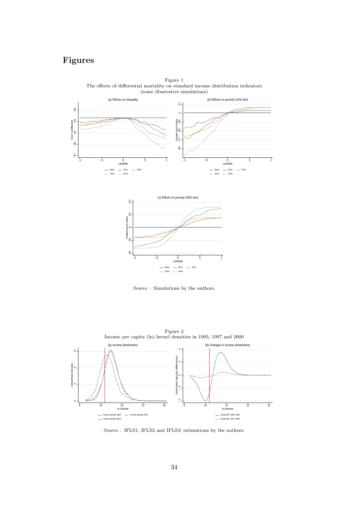# **Figures**



Figure 1 The effects of differential mortality on standard income distribution indicators (some illustrative simulations)



*Source :* Simulations by the authors.



Figure 2

*Source :* IFLS1, IFLS2 and IFLS3; estimations by the authors.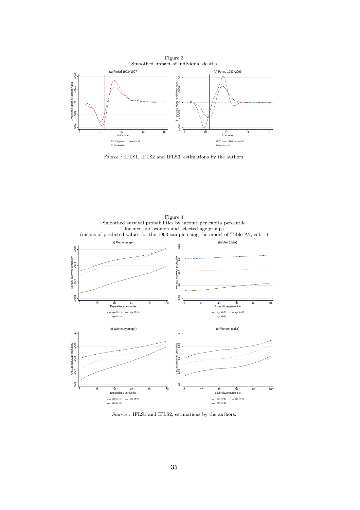

*Source :* IFLS1, IFLS2 and IFLS3; estimations by the authors.



*Source :* IFLS1 and IFLS2; estimations by the authors.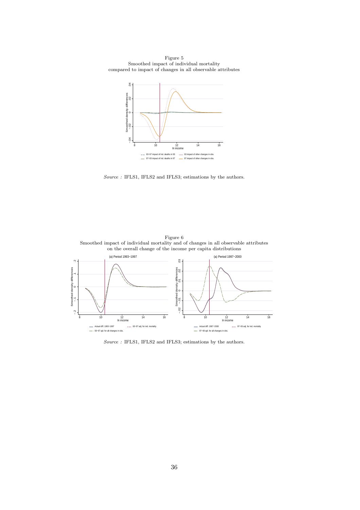Figure 5 Smoothed impact of individual mortality compared to impact of changes in all observable attributes



*Source :* IFLS1, IFLS2 and IFLS3; estimations by the authors.

Figure 6



*Source :* IFLS1, IFLS2 and IFLS3; estimations by the authors.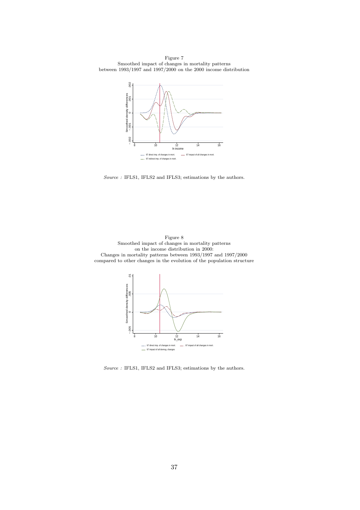Figure 7 Smoothed impact of changes in mortality patterns between 1993/1997 and 1997/2000 on the 2000 income distribution



*Source :* IFLS1, IFLS2 and IFLS3; estimations by the authors.



*Source :* IFLS1, IFLS2 and IFLS3; estimations by the authors.